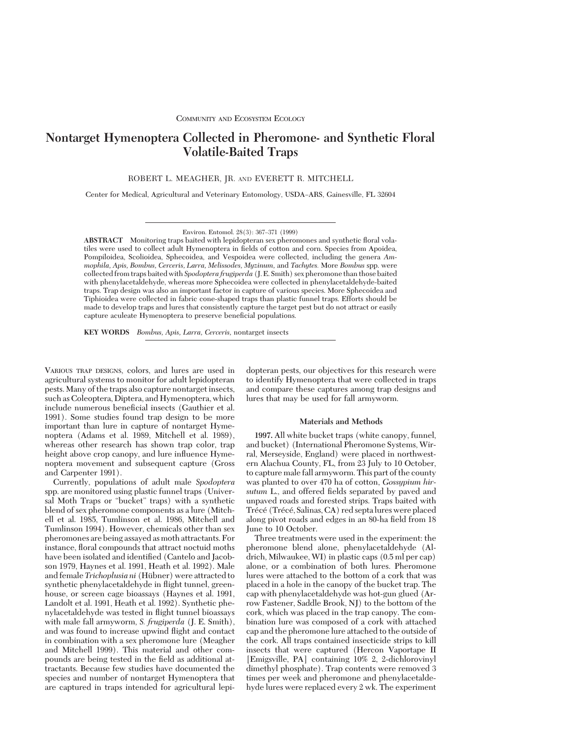# **Nontarget Hymenoptera Collected in Pheromone- and Synthetic Floral Volatile-Baited Traps**

ROBERT L. MEAGHER, JR. AND EVERETT R. MITCHELL

Center for Medical, Agricultural and Veterinary Entomology, USDA-ARS, Gainesville, FL 32604

**ABSTRACT** Monitoring traps baited with lepidopteran sex pheromones and synthetic ßoral volatiles were used to collect adult Hymenoptera in fields of cotton and corn. Species from Apoidea, Pompiloidea, Scolioidea, Sphecoidea, and Vespoidea were collected, including the genera *Ammophila, Apis, Bombus, Cerceris, Larra, Melissodes, Myzinum,* and *Tachytes.* More *Bombus* spp. were collected from traps baited with *Spodoptera frugiperda* (J. E. Smith) sex pheromone than those baited with phenylacetaldehyde, whereas more Sphecoidea were collected in phenylacetaldehyde-baited traps. Trap design was also an important factor in capture of various species. More Sphecoidea and Tiphioidea were collected in fabric cone-shaped traps than plastic funnel traps. Efforts should be made to develop traps and lures that consistently capture the target pest but do not attract or easily capture aculeate Hymenoptera to preserve beneficial populations.

**KEY WORDS** *Bombus, Apis, Larra, Cerceris,* nontarget insects

VARIOUS TRAP DESIGNS, colors, and lures are used in agricultural systems to monitor for adult lepidopteran pests. Many of the traps also capture nontarget insects, such as Coleoptera, Diptera, and Hymenoptera, which include numerous beneficial insects (Gauthier et al. 1991). Some studies found trap design to be more important than lure in capture of nontarget Hymenoptera (Adams et al. 1989, Mitchell et al. 1989), whereas other research has shown trap color, trap height above crop canopy, and lure influence Hymenoptera movement and subsequent capture (Gross and Carpenter 1991).

Currently, populations of adult male *Spodoptera* spp. are monitored using plastic funnel traps (Universal Moth Traps or "bucket" traps) with a synthetic blend of sex pheromone components as a lure (Mitchell et al. 1985, Tumlinson et al. 1986, Mitchell and Tumlinson 1994). However, chemicals other than sex pheromones are being assayed as moth attractants. For instance, ßoral compounds that attract noctuid moths have been isolated and identified (Cantelo and Jacobson 1979, Haynes et al. 1991, Heath et al. 1992). Male and female *Trichoplusia ni* (Hübner) were attracted to synthetic phenylacetaldehyde in ßight tunnel, greenhouse, or screen cage bioassays (Haynes et al. 1991, Landolt et al. 1991, Heath et al. 1992). Synthetic phenylacetaldehyde was tested in ßight tunnel bioassays with male fall armyworm, *S. frugiperda* (J. E. Smith), and was found to increase upwind ßight and contact in combination with a sex pheromone lure (Meagher and Mitchell 1999). This material and other compounds are being tested in the field as additional attractants. Because few studies have documented the species and number of nontarget Hymenoptera that are captured in traps intended for agricultural lepidopteran pests, our objectives for this research were to identify Hymenoptera that were collected in traps and compare these captures among trap designs and lures that may be used for fall armyworm.

## **Materials and Methods**

**1997.** All white bucket traps (white canopy, funnel, and bucket) (International Pheromone Systems, Wirral, Merseyside, England) were placed in northwestern Alachua County, FL, from 23 July to 10 October, to capture male fall armyworm. This part of the county was planted to over 470 ha of cotton, *Gossypium hir*sutum L., and offered fields separated by paved and unpaved roads and forested strips. Traps baited with Trécé (Trécé, Salinas, CA) red septalures were placed along pivot roads and edges in an 80-ha field from 18 June to 10 October.

Three treatments were used in the experiment: the pheromone blend alone, phenylacetaldehyde (Aldrich, Milwaukee, WI) in plastic caps (0.5 ml per cap) alone, or a combination of both lures. Pheromone lures were attached to the bottom of a cork that was placed in a hole in the canopy of the bucket trap. The cap with phenylacetaldehyde was hot-gun glued (Arrow Fastener, Saddle Brook, NJ) to the bottom of the cork, which was placed in the trap canopy. The combination lure was composed of a cork with attached cap and the pheromone lure attached to the outside of the cork. All traps contained insecticide strips to kill insects that were captured (Hercon Vaportape II [Emigsville, PA] containing 10% 2, 2-dichlorovinyl dimethyl phosphate). Trap contents were removed 3 times per week and pheromone and phenylacetaldehyde lures were replaced every 2 wk. The experiment

Environ. Entomol. 28(3): 367-371 (1999)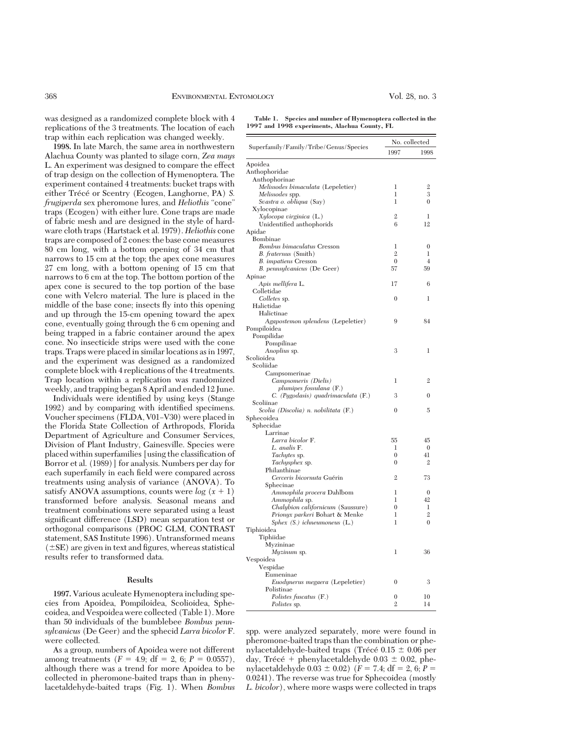was designed as a randomized complete block with 4 replications of the 3 treatments. The location of each trap within each replication was changed weekly.

**1998.** In late March, the same area in northwestern Alachua County was planted to silage corn, *Zea mays* L. An experiment was designed to compare the effect of trap design on the collection of Hymenoptera. The experiment contained 4 treatments: bucket traps with either Trécé or Scentry (Ecogen, Langhorne, PA) *S. frugiperda* sex pheromone lures, and *Heliothis* "cone" traps (Ecogen) with either lure. Cone traps are made of fabric mesh and are designed in the style of hardware cloth traps (Hartstack et al. 1979). *Heliothis* cone traps are composed of 2 cones: the base cone measures 80 cm long, with a bottom opening of 34 cm that narrows to 15 cm at the top; the apex cone measures 27 cm long, with a bottom opening of 15 cm that narrows to 6 cm at the top. The bottom portion of the apex cone is secured to the top portion of the base cone with Velcro material. The lure is placed in the middle of the base cone; insects ßy into this opening and up through the 15-cm opening toward the apex cone, eventually going through the 6 cm opening and being trapped in a fabric container around the apex cone. No insecticide strips were used with the cone traps. Traps were placed in similar locations as in 1997, and the experiment was designed as a randomized complete block with 4 replications of the 4 treatments. Trap location within a replication was randomized weekly, and trapping began 8 April and ended 12 June.

Individuals were identified by using keys (Stange 1992) and by comparing with identified specimens. Voucher specimens (FLDA, V01–V30) were placed in the Florida State Collection of Arthropods, Florida Department of Agriculture and Consumer Services, Division of Plant Industry, Gainesville. Species were placed within superfamilies [using the classification of Borror et al. (1989)] for analysis. Numbers per day for each superfamily in each field were compared across treatments using analysis of variance (ANOVA). To satisfy ANOVA assumptions, counts were  $log(x + 1)$ transformed before analysis. Seasonal means and treatment combinations were separated using a least significant difference (LSD) mean separation test or orthogonal comparisons (PROC GLM, CONTRAST statement, SAS Institute 1996). Untransformed means  $(\pm$ SE) are given in text and figures, whereas statistical results refer to transformed data.

#### **Results**

**1997.** Various aculeate Hymenoptera including species from Apoidea, Pompiloidea, Scolioidea, Sphecoidea, and Vespoidea were collected (Table 1). More than 50 individuals of the bumblebee *Bombus pennsylvanicus* (De Geer) and the sphecid *Larra bicolor* F. were collected.

As a group, numbers of Apoidea were not different among treatments  $(F = 4.9; df = 2, 6; P = 0.0557)$ , although there was a trend for more Apoidea to be collected in pheromone-baited traps than in phenylacetaldehyde-baited traps (Fig. 1). When *Bombus*

**Table 1. Species and number of Hymenoptera collected in the 1997 and 1998 experiments, Alachua County, FL**

| Superfamily/Family/Tribe/Genus/Species                | No. collected     |                |
|-------------------------------------------------------|-------------------|----------------|
|                                                       | 1997              | 1998           |
| Apoidea                                               |                   |                |
| Anthophoridae                                         |                   |                |
| Anthophorinae                                         |                   |                |
| Melissodes bimaculata (Lepeletier)                    | 1                 | 2              |
| Melissodes spp.                                       | 1                 | 3              |
| Svastra o. obliqua (Say)                              | 1                 | $\overline{0}$ |
| Xylocopinae                                           |                   |                |
| Xylocopa virginica (L.)<br>Unidentified anthophorids  | $\mathbf{2}$<br>6 | 1<br>12        |
| Apidae                                                |                   |                |
| Bombinae                                              |                   |                |
| Bombus bimaculatus Cresson                            | 1                 | $\theta$       |
| <i>B. fraternus</i> (Smith)                           | $\overline{2}$    | 1              |
| <b>B.</b> impatiens Cresson                           | $\boldsymbol{0}$  | $\overline{4}$ |
| B. pennsylvanicus (De Geer)                           | 57                | 59             |
| Apinae                                                |                   |                |
| Apis mellifera L.                                     | 17                | 6              |
| Colletidae                                            |                   |                |
| Colletes sp.                                          | $\overline{0}$    | 1              |
| Halictidae                                            |                   |                |
| Halictinae                                            |                   |                |
| Agapostemon splendens (Lepeletier)                    | 9                 | 84             |
| Pompiloidea                                           |                   |                |
| Pompilidae                                            |                   |                |
| Pompilinae                                            |                   |                |
| Anoplius sp.                                          | 3                 | 1              |
| Scolioidea                                            |                   |                |
| Scoliidae                                             |                   |                |
| Campsomerinae                                         |                   |                |
| Campsomeris (Dielis)                                  | 1                 | $\mathfrak{2}$ |
| plumipes fossulana (F.)                               |                   |                |
| C.<br>$Pygodasis)$ quadrimaculata $(F.)$<br>Scoliinae | 3                 | $\theta$       |
| Scolia (Discolia) n. nobilitata (F.)                  | $\theta$          | 5              |
| Sphecoidea                                            |                   |                |
| Sphecidae                                             |                   |                |
| Larrinae                                              |                   |                |
| Larra bicolor F.                                      | 55                | 45             |
| L. analis F.                                          | 1                 | $\mathbf{0}$   |
| <i>Tachytes sp.</i>                                   | $\theta$          | 41             |
| Tachysphex sp.                                        | $\mathbf{0}$      | $\overline{2}$ |
| Philanthinae                                          |                   |                |
| Cerceris bicornuta Guérin                             | $\overline{2}$    | 73             |
| Sphecinae                                             |                   |                |
| <i>Ammophila procera</i> Dahlbom                      | 1                 | $\mathbf{0}$   |
| Ammophila sp.                                         | 1                 | 42             |
| Chalybion californicum (Saussure)                     | $\boldsymbol{0}$  | 1              |
| Prionyx parkeri Bohart & Menke                        | 1                 | $\mathfrak{2}$ |
| Sphex $(S. )$ ichneumoneus $(L. )$                    | 1                 | $\overline{0}$ |
| Tiphioidea                                            |                   |                |
| Tiphiidae                                             |                   |                |
| Myzininae                                             |                   |                |
| Myzinum sp.                                           | 1                 | 36             |
| Vespoidea                                             |                   |                |
| Vespidae                                              |                   |                |
| Eumeninae                                             | $\theta$          | 3              |
| Euodynerus megaera (Lepeletier)<br>Polistinae         |                   |                |
| Polistes fuscatus (F.)                                | $\mathbf{0}$      | 10             |
| <i>Polistes</i> sp.                                   | $\overline{2}$    | 14             |
|                                                       |                   |                |

spp. were analyzed separately, more were found in pheromone-baited traps than the combination or phenylacetaldehyde-baited traps (Trécé  $0.15 \pm 0.06$  per day, Trécé + phenylacetaldehyde  $0.03 \pm 0.02$ , phenylacetaldehyde  $0.03 \pm 0.02$ ) (*F* = 7.4; df = 2, 6; *P* = 0.0241). The reverse was true for Sphecoidea (mostly *L. bicolor*), where more wasps were collected in traps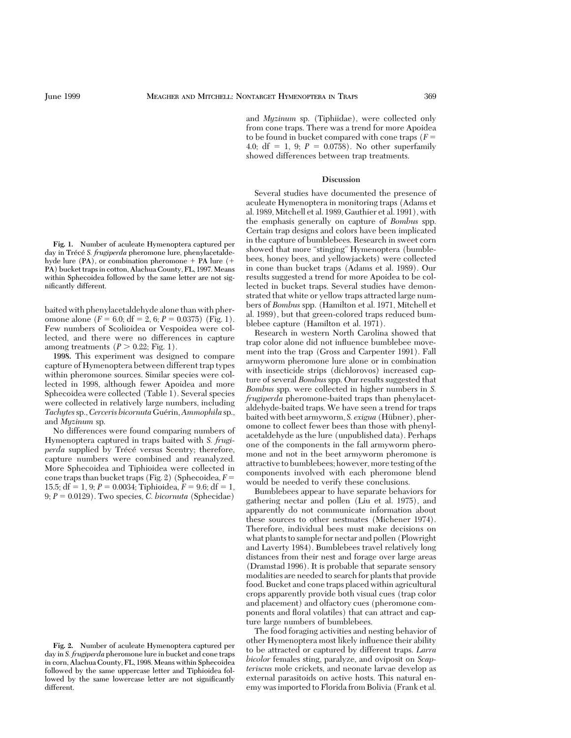**Fig. 1.** Number of aculeate Hymenoptera captured per day in Trécé S. frugiperda pheromone lure, phenylacetaldehyde lure  $(PA)$ , or combination pheromone + PA lure  $(+)$ PA) bucket traps in cotton, Alachua County, FL, 1997. Means within Sphecoidea followed by the same letter are not significantly different.

baited with phenylacetaldehyde alone than with pheromone alone  $(F = 6.0; df = 2, 6; P = 0.0375)$  (Fig. 1). Few numbers of Scolioidea or Vespoidea were collected, and there were no differences in capture among treatments  $(P > 0.22; Fig. 1)$ .

**1998.** This experiment was designed to compare capture of Hymenoptera between different trap types within pheromone sources. Similar species were collected in 1998, although fewer Apoidea and more Sphecoidea were collected (Table 1). Several species were collected in relatively large numbers, including *Tachytes* sp., *Cerceris bicornuta* Guérin, *Ammophila* sp., and *Myzinum* sp.

No differences were found comparing numbers of Hymenoptera captured in traps baited with *S. frugiperda* supplied by Trécé versus Scentry; therefore, capture numbers were combined and reanalyzed. More Sphecoidea and Tiphioidea were collected in cone traps than bucket traps (Fig. 2) (Sphecoidea,  $F =$ 15.5;  $df = 1, 9; P = 0.0034;$  Tiphioidea,  $F = 9.6; df = 1$ ,  $9; P = 0.0129$ . Two species, *C. bicornuta* (Sphecidae)

and *Myzinum* sp. (Tiphiidae), were collected only from cone traps. There was a trend for more Apoidea to be found in bucket compared with cone traps  $(F =$ 4.0;  $df = 1$ , 9;  $P = 0.0758$ ). No other superfamily showed differences between trap treatments.

## **Discussion**

Several studies have documented the presence of aculeate Hymenoptera in monitoring traps (Adams et al. 1989, Mitchell et al. 1989, Gauthier et al. 1991), with the emphasis generally on capture of *Bombus* spp. Certain trap designs and colors have been implicated in the capture of bumblebees. Research in sweet corn showed that more "stinging" Hymenoptera (bumblebees, honey bees, and yellowjackets) were collected in cone than bucket traps (Adams et al. 1989). Our results suggested a trend for more Apoidea to be collected in bucket traps. Several studies have demonstrated that white or yellow traps attracted large numbers of *Bombus* spp. (Hamilton et al. 1971, Mitchell et al. 1989), but that green-colored traps reduced bumblebee capture (Hamilton et al. 1971).

Research in western North Carolina showed that trap color alone did not inßuence bumblebee movement into the trap (Gross and Carpenter 1991). Fall armyworm pheromone lure alone or in combination with insecticide strips (dichlorovos) increased capture of several *Bombus* spp. Our results suggested that *Bombus* spp. were collected in higher numbers in *S. frugiperda* pheromone-baited traps than phenylacetaldehyde-baited traps. We have seen a trend for traps baited with beet armyworm, *S. exigua* (Hübner), pheromone to collect fewer bees than those with phenylacetaldehyde as the lure (unpublished data). Perhaps one of the components in the fall armyworm pheromone and not in the beet armyworm pheromone is attractive to bumblebees; however, more testing of the components involved with each pheromone blend would be needed to verify these conclusions.

Bumblebees appear to have separate behaviors for gathering nectar and pollen (Liu et al. 1975), and apparently do not communicate information about these sources to other nestmates (Michener 1974). Therefore, individual bees must make decisions on what plants to sample for nectar and pollen (Plowright and Laverty 1984). Bumblebees travel relatively long distances from their nest and forage over large areas (Dramstad 1996). It is probable that separate sensory modalities are needed to search for plants that provide food. Bucket and cone traps placed within agricultural crops apparently provide both visual cues (trap color and placement) and olfactory cues (pheromone components and ßoral volatiles) that can attract and capture large numbers of bumblebees.

The food foraging activities and nesting behavior of other Hymenoptera most likely inßuence their ability to be attracted or captured by different traps. *Larra bicolor* females sting, paralyze, and oviposit on *Scapteriscus* mole crickets, and neonate larvae develop as external parasitoids on active hosts. This natural enemy was imported to Florida from Bolivia (Frank et al.

**Fig. 2.** Number of aculeate Hymenoptera captured per day in *S. frugiperda* pheromone lure in bucket and cone traps in corn, Alachua County, FL, 1998. Means within Sphecoidea followed by the same uppercase letter and Tiphioidea followed by the same lowercase letter are not significantly different.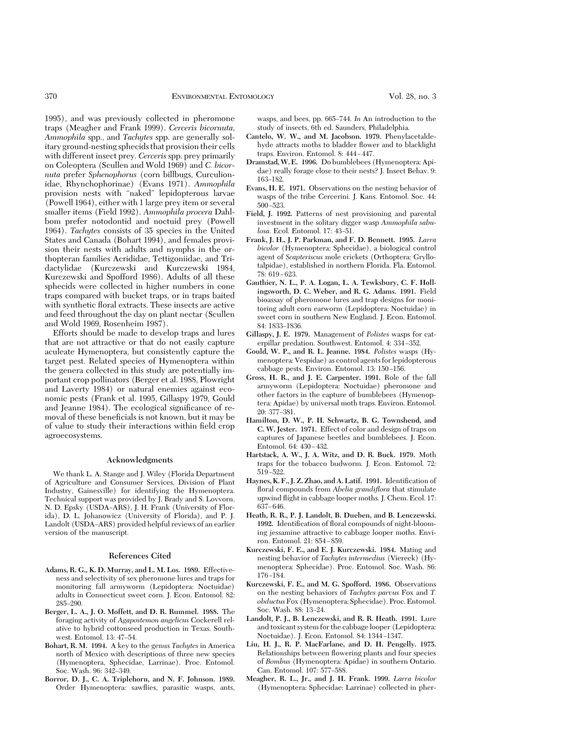1995), and was previously collected in pheromone traps (Meagher and Frank 1999). *Cerceris bicornuta, Ammophila* spp., and *Tachytes* spp. are generally solitary ground-nesting sphecids that provision their cells with different insect prey. *Cerceris*spp. prey primarily on Coleoptera (Scullen and Wold 1969) and *C. bicornuta* prefer *Sphenophorus* (corn billbugs, Curculionidae, Rhynchophorinae) (Evans 1971). *Ammophila* provision nests with "naked" lepidopterous larvae (Powell 1964), either with 1 large prey item or several smaller items (Field 1992). *Ammophila procera* Dahlbom prefer notodontid and noctuid prey (Powell 1964). *Tachytes* consists of 35 species in the United States and Canada (Bohart 1994), and females provision their nests with adults and nymphs in the orthopteran families Acrididae, Tettigoniidae, and Tridactylidae (Kurczewski and Kurczewski 1984, Kurczewski and Spofford 1986). Adults of all these sphecids were collected in higher numbers in cone traps compared with bucket traps, or in traps baited with synthetic ßoral extracts. These insects are active and feed throughout the day on plant nectar (Scullen and Wold 1969, Rosenheim 1987).

Efforts should be made to develop traps and lures that are not attractive or that do not easily capture aculeate Hymenoptera, but consistently capture the target pest. Related species of Hymenoptera within the genera collected in this study are potentially important crop pollinators (Berger et al. 1988, Plowright and Laverty 1984) or natural enemies against economic pests (Frank et al. 1995, Gillaspy 1979, Gould and Jeanne 1984). The ecological significance of removal of these beneficials is not known, but it may be of value to study their interactions within field crop agroecosystems.

# **Acknowledgments**

We thank L. A. Stange and J. Wiley (Florida Department of Agriculture and Consumer Services, Division of Plant Industry, Gainesville) for identifying the Hymenoptera. Technical support was provided by J. Brady and S. Lovvorn. N. D. Epsky (USDA-ARS), J. H. Frank (University of Florida), D. L. Johanowicz (University of Florida), and P. J. Landolt (USDA-ARS) provided helpful reviews of an earlier version of the manuscript.

#### **References Cited**

- **Adams, R. G., K. D. Murray, and L. M. Los. 1989.** Effectiveness and selectivity of sex pheromone lures and traps for monitoring fall armyworm (Lepidoptera: Noctuidae) adults in Connecticut sweet corn. J. Econ. Entomol. 82: 285Ð290.
- **Berger, L. A., J. O. Moffett, and D. R. Rummel. 1988.** The foraging activity of *Agapostemon angelicus* Cockerell relative to hybrid cottonseed production in Texas. Southwest. Entomol. 13: 47-54.
- **Bohart, R. M. 1994.** A key to the genus *Tachytes* in America north of Mexico with descriptions of three new species (Hymenoptera, Sphecidae, Larrinae). Proc. Entomol. Soc. Wash. 96: 342-349.
- **Borror, D. J., C. A. Triplehorn, and N. F. Johnson. 1989.** Order Hymenoptera: sawßies, parasitic wasps, ants,

wasps, and bees, pp. 665–744. In An introduction to the study of insects, 6th ed. Saunders, Philadelphia.

- **Cantelo, W. W., and M. Jacobson. 1979.** Phenylacetaldehyde attracts moths to bladder ßower and to blacklight traps. Environ. Entomol. 8: 444-447.
- **Dramstad,W. E. 1996.** Do bumblebees (Hymenoptera: Apidae) really forage close to their nests? J. Insect Behav. 9: 163-182.
- **Evans, H. E. 1971.** Observations on the nesting behavior of wasps of the tribe Cercerini. J. Kans. Entomol. Soc. 44:  $500 - 523$
- **Field, J. 1992.** Patterns of nest provisioning and parental investment in the solitary digger wasp *Ammophila sabu*losa. Ecol. Entomol. 17: 43-51.
- **Frank, J. H., J. P. Parkman, and F. D. Bennett. 1995.** *Larra bicolor* (Hymenoptera: Sphecidae), a biological control agent of *Scapteriscus* mole crickets (Orthoptera: Gryllotalpidae), established in northern Florida. Fla. Entomol.  $78: 619 - 623.$
- **Gauthier, N. L., P. A. Logan, L. A. Tewksbury, C. F. Hollingsworth, D. C. Weber, and R. G. Adams. 1991.** Field bioassay of pheromone lures and trap designs for monitoring adult corn earworm (Lepidoptera: Noctuidae) in sweet corn in southern New England. J. Econ. Entomol. 84: 1833-1836.
- **Gillaspy, J. E. 1979.** Management of *Polistes* wasps for caterpillar predation. Southwest. Entomol. 4: 334–352.
- **Gould, W. P., and R. L. Jeanne. 1984.** *Polistes* wasps (Hymenoptera: Vespidae) as control agents for lepidopterous cabbage pests. Environ. Entomol. 13: 150-156.
- **Gross, H. R., and J. E. Carpenter. 1991.** Role of the fall armyworm (Lepidoptera: Noctuidae) pheromone and other factors in the capture of bumblebees (Hymenoptera: Apidae) by universal moth traps. Environ. Entomol. 20: 377-381.
- **Hamilton, D. W., P. H. Schwartz, B. G. Townshend, and C. W. Jester. 1971.** Effect of color and design of traps on captures of Japanese beetles and bumblebees. J. Econ. Entomol. 64: 430-432.
- **Hartstack, A. W., J. A. Witz, and D. R. Buck. 1979.** Moth traps for the tobacco budworm. J. Econ. Entomol. 72: 519–522.
- Haynes, K. F., J. Z. Zhao, and A. Latif. 1991. Identification of floral compounds from *Abelia grandiflora* that stimulate upwind ßight in cabbage looper moths. J. Chem. Ecol. 17: 637–646.
- **Heath, R. R., P. J. Landolt, B. Dueben, and B. Lenczewski. 1992.** Identification of floral compounds of night-blooming jessamine attractive to cabbage looper moths. Environ. Entomol. 21: 854-859.
- **Kurczewski, F. E., and E. J. Kurczewski. 1984.** Mating and nesting behavior of *Tachytes intermedius* (Viereck) (Hymenoptera: Sphecidae). Proc. Entomol. Soc. Wash. 86: 176–184.
- **Kurczewski, F. E., and M. G. Spofford. 1986.** Observations on the nesting behaviors of *Tachytes parvus* Fox and *T. obductus*Fox (Hymenoptera: Sphecidae). Proc. Entomol. Soc. Wash. 88: 13-24.
- **Landolt, P. J., B. Lenczewski, and R. R. Heath. 1991.** Lure and toxicant system for the cabbage looper (Lepidoptera: Noctuidae). J. Econ. Entomol. 84: 1344-1347.
- **Liu, H. J., R. P. MacFarlane, and D. H. Pengelly. 1975.** Relationships between ßowering plants and four species of *Bombus* (Hymenoptera: Apidae) in southern Ontario. Can. Entomol. 107: 577-588.
- **Meagher, R. L., Jr., and J. H. Frank. 1999.** *Larra bicolor* (Hymenoptera: Sphecidae: Larrinae) collected in pher-